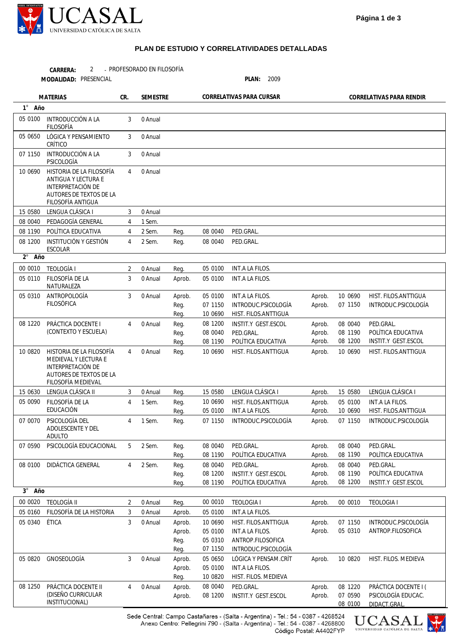

## **PLAN DE ESTUDIO Y CORRELATIVIDADES DETALLADAS**

PROFESORADO EN FILOSOFÍA 2 -**CARRERA:**

PRESENCIAL **PLAN:** 2009 **MODALIDAD:**

**1** ° **2** ° **3** ° **Año Año Año** Aprob. Aprob. Aprob. Aprob. Aprob. Aprob. Aprob. Aprob. Aprob. Aprob. Aprob. Aprob. Aprob. Aprob. Aprob. Aprob. Aprob. Aprob. Aprob. Aprob. Aprob. 10 0690 07 1150 08 0040 08 1190 08 1200 10 0690 15 0580 05 0100 10 0690 07 1150 08 0040 08 1190 08 0040 08 1190 08 1200 00 0010 07 1150 05 0310 10 0820 08 1220 07 0590 HIST. FILOS.ANTTIGUA INTRODUC.PSICOLOGÍA PED.GRAL. POLÍTICA EDUCATIVA INSTIT.Y GEST.ESCOL HIST. FILOS.ANTTIGUA LENGUA CLÁSICA I INT.A LA FILOS. HIST. FILOS.ANTTIGUA INTRODUC.PSICOLOGÍA PED.GRAL. POLÍTICA EDUCATIVA PED.GRAL. POLÍTICA EDUCATIVA INSTIT.Y GEST.ESCOL TEOLOGIA I INTRODUC.PSICOLOGÍA ANTROP.FILOSOFICA HIST. FILOS. MEDIEVA PRÁCTICA DOCENTE I ( PSICOLOGÍA EDUCAC. DIDACT.GRAL. Reg. Reg. Reg. Aprob. Aprob. Reg. Reg. Reg. Reg. Reg. Reg. Reg. Reg. Reg. Reg. Reg. Reg. Reg. Reg. Reg. Reg. Aprob. Aprob. Aprob. Reg. Reg. Aprob. Aprob. Reg. Aprob. Aprob. 08 0040 08 0040 05 0100 05 0100 05 0100 07 1150 10 0690 08 1200 08 0040 08 1190 10 0690 15 0580 10 0690 05 0100 07 1150 08 0040 08 1190 08 0040 08 1200 08 1190 00 0010 05 0100 10 0690 05 0100 05 0310 07 1150 05 0650 05 0100 10 0820 08 0040 08 1200 PED.GRAL PED.GRAL. INT.A LA FILOS. INT.A LA FILOS. INT.A LA FILOS. INTRODUC.PSICOLOGÍA HIST. FILOS.ANTTIGUA INSTIT.Y GEST.ESCOL PED.GRAL POLÍTICA EDUCATIVA HIST. FILOS.ANTTIGUA LENGUA CLÁSICA I HIST. FILOS.ANTTIGUA **INT.A LA FILOS** INTRODUC.PSICOLOGÍA PED.GRAL. POLÍTICA EDUCATIVA PED.GRAL. INSTIT.Y GEST.ESCOL POLÍTICA EDUCATIVA TEOLOGIA I INT.A LA FILOS. HIST. FILOS.ANTTIGUA INT.A LA FILOS. ANTROP.FILOSOFICA INTRODUC.PSICOLOGÍA LÓGICA Y PENSAM.CRÍT INT.A LA FILOS. HIST. FILOS. MEDIEVA PED.GRAL. INSTIT.Y GEST.ESCOL 05 0100 05 0650 07 1150 10 0690 15 0580 08 0040 08 1190 08 1200 00 0010 05 0110 05 0310 08 1220 10 0820 15 0630 05 0090 07 0070 07 0590 08 0100 00 0020 05 0160 05 0340 05 0820 08 1250 INTRODUCCIÓN A LA FILOSOFÍA LÓGICA Y PENSAMIENTO CRÍTICO INTRODUCCIÓN A LA PSICOLOGÍA HISTORIA DE LA FILOSOFÍA ANTIGUA Y LECTURA E INTERPRETACIÓN DE AUTORES DE TEXTOS DE LA FILOSOFÍA ANTIGUA LENGUA CLÁSICA I PEDAGOGÍA GENERAL POLÍTICA EDUCATIVA INSTITUCIÓN Y GESTIÓN ESCOLAR TEOLOGÍA I FILOSOFÍA DE LA NATURALEZA ANTROPOLOGÍA FILOSÓFICA PRÁCTICA DOCENTE I (CONTEXTO Y ESCUELA) HISTORIA DE LA FILOSOFÍA MEDIEVAL Y LECTURA E INTERPRETACIÓN DE AUTORES DE TEXTOS DE LA FILOSOFÍA MEDIEVAL LENGUA CLÁSICA II FILOSOFÍA DE LA EDUCACIÓN PSICOLOGÍA DEL ADOLESCENTE Y DEL ADULTO PSICOLOGÍA EDUCACIONAL DIDÁCTICA GENERAL TEOLOGÍA II FILOSOFÍA DE LA HISTORIA ÉTICA GNOSEOLOGÍA PRÁCTICA DOCENTE II (DISEÑO CURRICULAR INSTITUCIONAL) 3 3 3 4 3 4 4 4 2 3 3 4 4 3 4 4 5 4 2 3 3 3 4 0 Anual 0 Anual 0 Anual 0 Anual 0 Anual 1 Sem. 2 Sem. 2 Sem. 0 Anual 0 Anual 0 Anual 0 Anual 0 Anual 0 Anual 1 Sem. 1 Sem. 2 Sem. 2 Sem. 0 Anual 0 Anual 0 Anual 0 Anual 0 Anual **MATERIAS CR. SEMESTRE CORRELATIVAS PARA CURSAR CORRELATIVAS PARA RENDIR** 

> Sede Central: Campo Castañares - (Salta - Argentina) - Tel.: 54 - 0387 - 4268524 Anexo Centro: Pellegrini 790 - (Salta - Argentina) - Tel.: 54 - 0387 - 4268800 Código Postal: A4402FYP



08 0100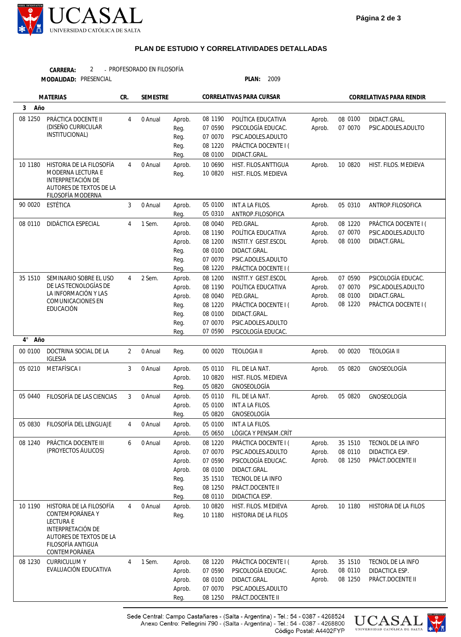

## **PLAN DE ESTUDIO Y CORRELATIVIDADES DETALLADAS**

PROFESORADO EN FILOSOFÍA **CARRERA:** 2 -

| MODALIDAD: PRESENCIAL |  |
|-----------------------|--|
|-----------------------|--|

PRESENCIAL **PLAN:** 2009

| <b>MATERIAS</b>    |                                                    | CR.            | <b>SEMESTRE</b> |                | CORRELATIVAS PARA CURSAR |                                          | CORRELATIVAS PARA RENDIR |         |                      |
|--------------------|----------------------------------------------------|----------------|-----------------|----------------|--------------------------|------------------------------------------|--------------------------|---------|----------------------|
| 3<br>Año           |                                                    |                |                 |                |                          |                                          |                          |         |                      |
| 08 1250            | PRÁCTICA DOCENTE II                                | $\overline{4}$ | 0 Anual         | Aprob.         | 08 1190                  | POLÍTICA EDUCATIVA                       | Aprob.                   | 08 0100 | DIDACT.GRAL.         |
|                    | (DISEÑO CURRICULAR                                 |                |                 | Reg.           | 07 0590                  | PSICOLOGÍA EDUCAC.                       | Aprob.                   | 07 0070 | PSIC.ADOLES.ADULTO   |
|                    | INSTITUCIONAL)                                     |                |                 | Reg.           | 07 0070                  | PSIC.ADOLES.ADULTO                       |                          |         |                      |
|                    |                                                    |                |                 | Reg.           | 08 1220                  | PRÁCTICA DOCENTE I (                     |                          |         |                      |
|                    |                                                    |                |                 | Reg.           | 08 0100                  | DIDACT.GRAL.                             |                          |         |                      |
| 10 1180            | HISTORIA DE LA FILOSOFÍA                           | $\overline{4}$ | 0 Anual         | Aprob.         | 10 0690                  | HIST. FILOS.ANTTIGUA                     | Aprob.                   | 10 0820 | HIST. FILOS. MEDIEVA |
|                    | MODERNA LECTURA E                                  |                |                 | Reg.           | 10 0820                  | HIST. FILOS. MEDIEVA                     |                          |         |                      |
|                    | INTERPRETACIÓN DE<br>AUTORES DE TEXTOS DE LA       |                |                 |                |                          |                                          |                          |         |                      |
|                    | FILOSOFÍA MODERNA                                  |                |                 |                |                          |                                          |                          |         |                      |
| 90 00 20           | ESTÉTICA                                           | 3              | 0 Anual         | Aprob.         | 05 0100                  | INT.A LA FILOS.                          | Aprob.                   | 05 0310 | ANTROP.FILOSOFICA    |
|                    |                                                    |                |                 | Reg.           | 05 0310                  | ANTROP.FILOSOFICA                        |                          |         |                      |
| 08 0110            | DIDÁCTICA ESPECIAL                                 | $\overline{4}$ | 1 Sem.          | Aprob.         | 08 0040                  | PED.GRAL.                                | Aprob.                   | 08 1220 | PRÁCTICA DOCENTE I ( |
|                    |                                                    |                |                 | Aprob.         | 08 1190                  | POLÍTICA EDUCATIVA                       | Aprob.                   | 07 0070 | PSIC.ADOLES.ADULTO   |
|                    |                                                    |                |                 | Aprob.         | 08 1200                  | INSTIT.Y GEST.ESCOL                      | Aprob.                   | 08 0100 | DIDACT.GRAL.         |
|                    |                                                    |                |                 | Reg.           | 08 0100                  | DIDACT.GRAL.                             |                          |         |                      |
|                    |                                                    |                |                 | Reg.           | 07 0070                  | PSIC.ADOLES.ADULTO                       |                          |         |                      |
|                    |                                                    |                |                 | Reg.           | 08 1220                  | PRÁCTICA DOCENTE I (                     |                          |         |                      |
| 35 1510            | SEMINARIO SOBRE EL USO                             | $\overline{4}$ | 2 Sem.          | Aprob.         | 08 1200                  | <b>INSTIT.Y GEST.ESCOL</b>               | Aprob.                   | 07 0590 | PSICOLOGÍA EDUCAC.   |
|                    | DE LAS TECNOLOGÍAS DE<br>LA INFORMACIÓN Y LAS      |                |                 | Aprob.         | 08 1190                  | POLÍTICA EDUCATIVA                       | Aprob.                   | 07 0070 | PSIC.ADOLES.ADULTO   |
|                    | COMUNICACIONES EN                                  |                |                 | Aprob.         | 08 0040                  | PED.GRAL.                                | Aprob.                   | 08 0100 | DIDACT.GRAL.         |
|                    | EDUCACIÓN                                          |                |                 | Reg.           | 08 1220                  | PRÁCTICA DOCENTE I (                     | Aprob.                   | 08 1220 | PRÁCTICA DOCENTE I ( |
|                    |                                                    |                |                 | Reg.           | 08 0100                  | DIDACT.GRAL.                             |                          |         |                      |
|                    |                                                    |                |                 | Reg.           | 07 0070<br>07 0590       | PSIC.ADOLES.ADULTO<br>PSICOLOGÍA EDUCAC. |                          |         |                      |
| $4^{\circ}$<br>Año |                                                    |                |                 | Reg.           |                          |                                          |                          |         |                      |
| 00 0100            | DOCTRINA SOCIAL DE LA                              | $\overline{2}$ | 0 Anual         | Reg.           | 00 00 20                 | <b>TEOLOGIA II</b>                       | Aprob.                   | 00 0020 | <b>TEOLOGIA II</b>   |
|                    | <b>IGLESIA</b>                                     |                |                 |                |                          |                                          |                          |         |                      |
| 05 0210            | METAFÍSICA I                                       | 3              | 0 Anual         | Aprob.         | 05 0110                  | FIL. DE LA NAT.                          | Aprob.                   | 05 0820 | GNOSEOLOGÍA          |
|                    |                                                    |                |                 | Aprob.         | 10 0820                  | HIST. FILOS. MEDIEVA                     |                          |         |                      |
|                    |                                                    |                |                 | Reg.           | 05 0820                  | GNOSEOLOGÍA                              |                          |         |                      |
| 05 0440            | FILOSOFÍA DE LAS CIENCIAS                          | 3              | 0 Anual         | Aprob.         | 05 0110                  | FIL. DE LA NAT.                          | Aprob.                   | 05 0820 | GNOSEOLOGÍA          |
|                    |                                                    |                |                 | Aprob.         | 05 0100                  | INT.A LA FILOS.                          |                          |         |                      |
|                    |                                                    |                |                 | Reg.           | 05 0820                  | GNOSEOLOGÍA                              |                          |         |                      |
| 05 0830            | FILOSOFÍA DEL LENGUAJE                             | $\overline{4}$ | 0 Anual         | Aprob.         | 05 0100                  | <b>INT.A LA FILOS.</b>                   |                          |         |                      |
|                    |                                                    |                |                 | Aprob.         | 05 0650                  | LÓGICA Y PENSAM.CRÍT                     |                          |         |                      |
| 08 1240            | PRÁCTICA DOCENTE III                               | 6              | 0 Anual         | Aprob.         | 08 1220                  | PRÁCTICA DOCENTE I (                     | Aprob.                   | 35 1510 | TECNOL DE LA INFO    |
|                    | (PROYECTOS ÁULICOS)                                |                |                 | Aprob.         | 07 0070                  | PSIC.ADOLES.ADULTO                       | Aprob.                   | 08 0110 | DIDACTICA ESP.       |
|                    |                                                    |                |                 | Aprob.         | 07 0590                  | PSICOLOGÍA EDUCAC.                       | Aprob.                   | 08 1250 | PRÁCT.DOCENTE II     |
|                    |                                                    |                |                 | Aprob.         | 08 0100                  | DIDACT.GRAL.                             |                          |         |                      |
|                    |                                                    |                |                 | Reg.           | 35 1510                  | TECNOL DE LA INFO                        |                          |         |                      |
|                    |                                                    |                |                 | Reg.           | 08 1250<br>08 0110       | PRÁCT.DOCENTE II<br>DIDACTICA ESP.       |                          |         |                      |
| 10 1190            |                                                    | $\overline{4}$ | 0 Anual         | Reg.           | 10 0820                  | HIST. FILOS. MEDIEVA                     |                          | 10 1180 |                      |
|                    | HISTORIA DE LA FILOSOFÍA<br><b>CONTEMPORÁNEA Y</b> |                |                 | Aprob.<br>Reg. | 10 1180                  | HISTORIA DE LA FILOS                     | Aprob.                   |         | HISTORIA DE LA FILOS |
|                    | <b>LECTURA E</b>                                   |                |                 |                |                          |                                          |                          |         |                      |
|                    | INTERPRETACIÓN DE                                  |                |                 |                |                          |                                          |                          |         |                      |
|                    | AUTORES DE TEXTOS DE LA                            |                |                 |                |                          |                                          |                          |         |                      |
|                    | FILOSOFÍA ANTIGUA<br>CONTEMPORÁNEA                 |                |                 |                |                          |                                          |                          |         |                      |
| 08 1230            | <b>CURRICULUMY</b>                                 | 4              | 1 Sem.          | Aprob.         | 08 1220                  | PRÁCTICA DOCENTE I (                     | Aprob.                   | 35 1510 | TECNOL DE LA INFO    |
|                    | EVALUACIÓN EDUCATIVA                               |                |                 | Aprob.         | 07 0590                  | PSICOLOGÍA EDUCAC.                       | Aprob.                   | 08 0110 | DIDACTICA ESP.       |
|                    |                                                    |                |                 | Aprob.         | 08 0100                  | DIDACT.GRAL.                             | Aprob.                   | 08 1250 | PRÁCT.DOCENTE II     |
|                    |                                                    |                |                 | Aprob.         | 07 0070                  | PSIC.ADOLES.ADULTO                       |                          |         |                      |
|                    |                                                    |                |                 | Reg.           | 08 1250                  | PRÁCT.DOCENTE II                         |                          |         |                      |
|                    |                                                    |                |                 |                |                          |                                          |                          |         |                      |